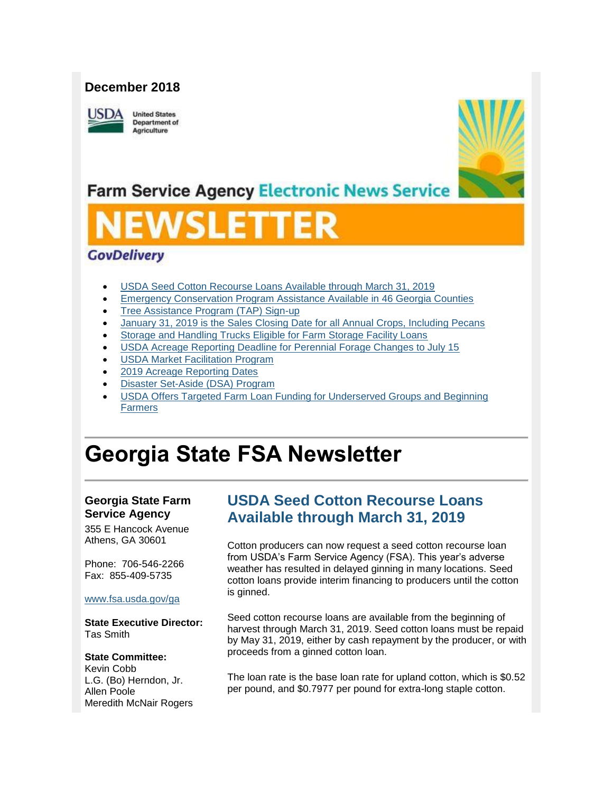#### **December 2018**



**United States** Department of Agriculture



## **Farm Service Agency Electronic News Service**

# SLET

#### **GovDelivery**

- [USDA Seed Cotton Recourse Loans Available through March 31, 2019](#page-0-0)
- **[Emergency Conservation Program Assistance Available in 46 Georgia Counties](#page-1-0)**
- [Tree Assistance Program \(TAP\) Sign-up](#page-2-0)
- [January 31, 2019 is the Sales Closing Date for all Annual Crops, Including Pecans](#page-2-1)
- [Storage and Handling Trucks Eligible for Farm Storage Facility Loans](#page-3-0)
- [USDA Acreage Reporting Deadline for Perennial Forage Changes to July 15](#page-2-1)
- [USDA Market Facilitation Program](#page-4-0)
- [2019 Acreage Reporting Dates](#page-5-0)
- [Disaster Set-Aside \(DSA\) Program](#page-6-0)
- [USDA Offers Targeted Farm Loan Funding for Underserved Groups and Beginning](#page-6-1)  [Farmers](#page-6-1)

## **Georgia State FSA Newsletter**

#### **Georgia State Farm Service Agency**

355 E Hancock Avenue Athens, GA 30601

Phone: 706-546-2266 Fax: 855-409-5735

#### [www.fsa.usda.gov/ga](http://www.fsa.usda.gov/xx?utm_medium=email&utm_source=govdelivery)

**State Executive Director:** Tas Smith

#### **State Committee:**

Kevin Cobb L.G. (Bo) Herndon, Jr. Allen Poole Meredith McNair Rogers

## <span id="page-0-0"></span>**USDA Seed Cotton Recourse Loans Available through March 31, 2019**

Cotton producers can now request a seed cotton recourse loan from USDA's Farm Service Agency (FSA). This year's adverse weather has resulted in delayed ginning in many locations. Seed cotton loans provide interim financing to producers until the cotton is ginned.

Seed cotton recourse loans are available from the beginning of harvest through March 31, 2019. Seed cotton loans must be repaid by May 31, 2019, either by cash repayment by the producer, or with proceeds from a ginned cotton loan.

The loan rate is the base loan rate for upland cotton, which is \$0.52 per pound, and \$0.7977 per pound for extra-long staple cotton.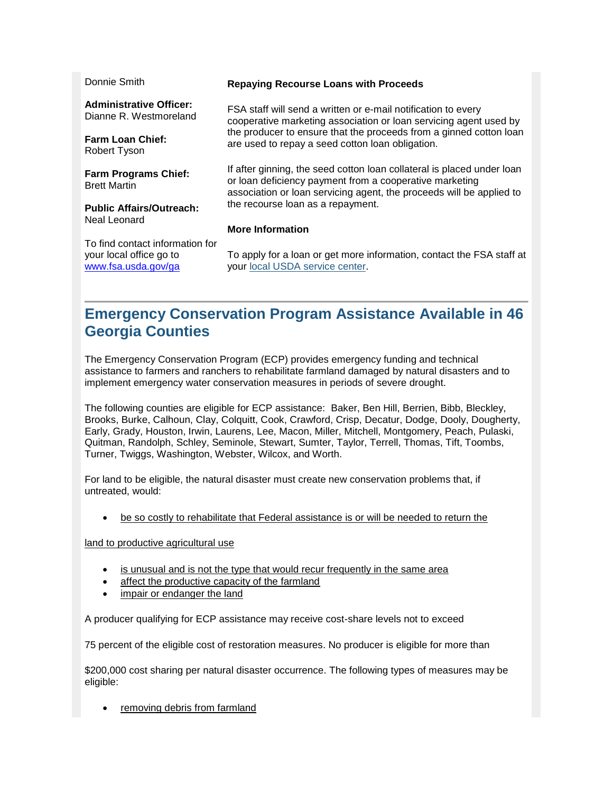| Donnie Smith                                                                      | <b>Repaying Recourse Loans with Proceeds</b>                                                                                                                                                              |
|-----------------------------------------------------------------------------------|-----------------------------------------------------------------------------------------------------------------------------------------------------------------------------------------------------------|
|                                                                                   |                                                                                                                                                                                                           |
| <b>Administrative Officer:</b><br>Dianne R. Westmoreland                          | FSA staff will send a written or e-mail notification to every<br>cooperative marketing association or loan servicing agent used by                                                                        |
| <b>Farm Loan Chief:</b><br>Robert Tyson                                           | the producer to ensure that the proceeds from a ginned cotton loan<br>are used to repay a seed cotton loan obligation.                                                                                    |
| <b>Farm Programs Chief:</b><br><b>Brett Martin</b>                                | If after ginning, the seed cotton loan collateral is placed under loan<br>or loan deficiency payment from a cooperative marketing<br>association or loan servicing agent, the proceeds will be applied to |
| <b>Public Affairs/Outreach:</b>                                                   | the recourse loan as a repayment.                                                                                                                                                                         |
| Neal Leonard                                                                      | <b>More Information</b>                                                                                                                                                                                   |
| To find contact information for<br>your local office go to<br>www.fsa.usda.gov/ga | To apply for a loan or get more information, contact the FSA staff at<br>your local USDA service center.                                                                                                  |

## <span id="page-1-0"></span>**Emergency Conservation Program Assistance Available in 46 Georgia Counties**

The Emergency Conservation Program (ECP) provides emergency funding and technical assistance to farmers and ranchers to rehabilitate farmland damaged by natural disasters and to implement emergency water conservation measures in periods of severe drought.

The following counties are eligible for ECP assistance: Baker, Ben Hill, Berrien, Bibb, Bleckley, Brooks, Burke, Calhoun, Clay, Colquitt, Cook, Crawford, Crisp, Decatur, Dodge, Dooly, Dougherty, Early, Grady, Houston, Irwin, Laurens, Lee, Macon, Miller, Mitchell, Montgomery, Peach, Pulaski, Quitman, Randolph, Schley, Seminole, Stewart, Sumter, Taylor, Terrell, Thomas, Tift, Toombs, Turner, Twiggs, Washington, Webster, Wilcox, and Worth.

For land to be eligible, the natural disaster must create new conservation problems that, if untreated, would:

• be so costly to rehabilitate that Federal assistance is or will be needed to return the

land to productive agricultural use

- is unusual and is not the type that would recur frequently in the same area
- affect the productive capacity of the farmland
- impair or endanger the land

A producer qualifying for ECP assistance may receive cost-share levels not to exceed

75 percent of the eligible cost of restoration measures. No producer is eligible for more than

\$200,000 cost sharing per natural disaster occurrence. The following types of measures may be eligible:

removing debris from farmland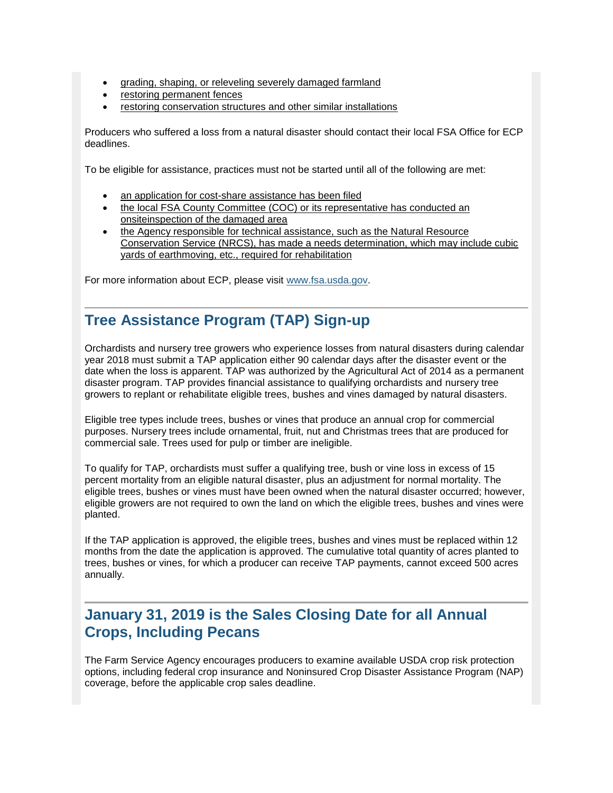- grading, shaping, or releveling severely damaged farmland
- restoring permanent fences
- restoring conservation structures and other similar installations

Producers who suffered a loss from a natural disaster should contact their local FSA Office for ECP deadlines.

To be eligible for assistance, practices must not be started until all of the following are met:

- an application for cost-share assistance has been filed
- the local FSA County Committee (COC) or its representative has conducted an onsiteinspection of the damaged area
- the Agency responsible for technical assistance, such as the Natural Resource Conservation Service (NRCS), has made a needs determination, which may include cubic yards of earthmoving, etc., required for rehabilitation

For more information about ECP, please visit [www.fsa.usda.gov.](http://www.fsa.usda.gov/?utm_medium=email&utm_source=govdelivery)

### <span id="page-2-0"></span>**Tree Assistance Program (TAP) Sign-up**

Orchardists and nursery tree growers who experience losses from natural disasters during calendar year 2018 must submit a TAP application either 90 calendar days after the disaster event or the date when the loss is apparent. TAP was authorized by the Agricultural Act of 2014 as a permanent disaster program. TAP provides financial assistance to qualifying orchardists and nursery tree growers to replant or rehabilitate eligible trees, bushes and vines damaged by natural disasters.

Eligible tree types include trees, bushes or vines that produce an annual crop for commercial purposes. Nursery trees include ornamental, fruit, nut and Christmas trees that are produced for commercial sale. Trees used for pulp or timber are ineligible.

To qualify for TAP, orchardists must suffer a qualifying tree, bush or vine loss in excess of 15 percent mortality from an eligible natural disaster, plus an adjustment for normal mortality. The eligible trees, bushes or vines must have been owned when the natural disaster occurred; however, eligible growers are not required to own the land on which the eligible trees, bushes and vines were planted.

If the TAP application is approved, the eligible trees, bushes and vines must be replaced within 12 months from the date the application is approved. The cumulative total quantity of acres planted to trees, bushes or vines, for which a producer can receive TAP payments, cannot exceed 500 acres annually.

### <span id="page-2-1"></span>**January 31, 2019 is the Sales Closing Date for all Annual Crops, Including Pecans**

The Farm Service Agency encourages producers to examine available USDA crop risk protection options, including federal crop insurance and Noninsured Crop Disaster Assistance Program (NAP) coverage, before the applicable crop sales deadline.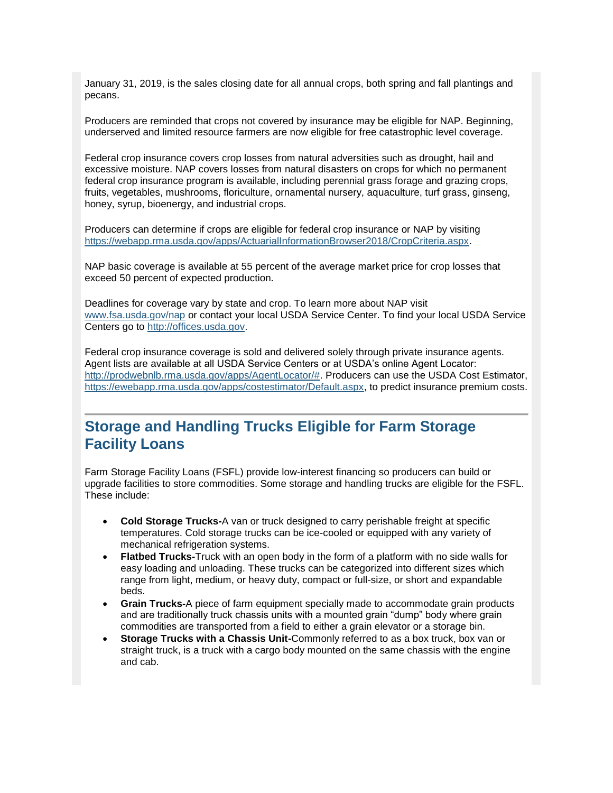January 31, 2019, is the sales closing date for all annual crops, both spring and fall plantings and pecans.

Producers are reminded that crops not covered by insurance may be eligible for NAP. Beginning, underserved and limited resource farmers are now eligible for free catastrophic level coverage.

Federal crop insurance covers crop losses from natural adversities such as drought, hail and excessive moisture. NAP covers losses from natural disasters on crops for which no permanent federal crop insurance program is available, including perennial grass forage and grazing crops, fruits, vegetables, mushrooms, floriculture, ornamental nursery, aquaculture, turf grass, ginseng, honey, syrup, bioenergy, and industrial crops.

Producers can determine if crops are eligible for federal crop insurance or NAP by visiting [https://webapp.rma.usda.gov/apps/ActuarialInformationBrowser2018/CropCriteria.aspx.](https://webapp.rma.usda.gov/apps/ActuarialInformationBrowser2018/CropCriteria.aspx?utm_medium=email&utm_source=govdelivery)

NAP basic coverage is available at 55 percent of the average market price for crop losses that exceed 50 percent of expected production.

Deadlines for coverage vary by state and crop. To learn more about NAP visit [www.fsa.usda.gov/nap](http://www.fsa.usda.gov/nap?utm_medium=email&utm_source=govdelivery) or contact your local USDA Service Center. To find your local USDA Service Centers go to [http://offices.usda.gov.](http://offices.usda.gov/?utm_medium=email&utm_source=govdelivery)

Federal crop insurance coverage is sold and delivered solely through private insurance agents. Agent lists are available at all USDA Service Centers or at USDA's online Agent Locator: [http://prodwebnlb.rma.usda.gov/apps/AgentLocator/#.](http://prodwebnlb.rma.usda.gov/apps/AgentLocator/?utm_medium=email&utm_source=govdelivery) Producers can use the USDA Cost Estimator, [https://ewebapp.rma.usda.gov/apps/costestimator/Default.aspx,](https://ewebapp.rma.usda.gov/apps/costestimator/Default.aspx?utm_medium=email&utm_source=govdelivery) to predict insurance premium costs.

#### <span id="page-3-0"></span>**Storage and Handling Trucks Eligible for Farm Storage Facility Loans**

Farm Storage Facility Loans (FSFL) provide low-interest financing so producers can build or upgrade facilities to store commodities. Some storage and handling trucks are eligible for the FSFL. These include:

- **Cold Storage Trucks-**A van or truck designed to carry perishable freight at specific temperatures. Cold storage trucks can be ice-cooled or equipped with any variety of mechanical refrigeration systems.
- **Flatbed Trucks-**Truck with an open body in the form of a platform with no side walls for easy loading and unloading. These trucks can be categorized into different sizes which range from light, medium, or heavy duty, compact or full-size, or short and expandable beds.
- **Grain Trucks-**A piece of farm equipment specially made to accommodate grain products and are traditionally truck chassis units with a mounted grain "dump" body where grain commodities are transported from a field to either a grain elevator or a storage bin.
- **Storage Trucks with a Chassis Unit-**Commonly referred to as a box truck, box van or straight truck, is a truck with a cargo body mounted on the same chassis with the engine and cab.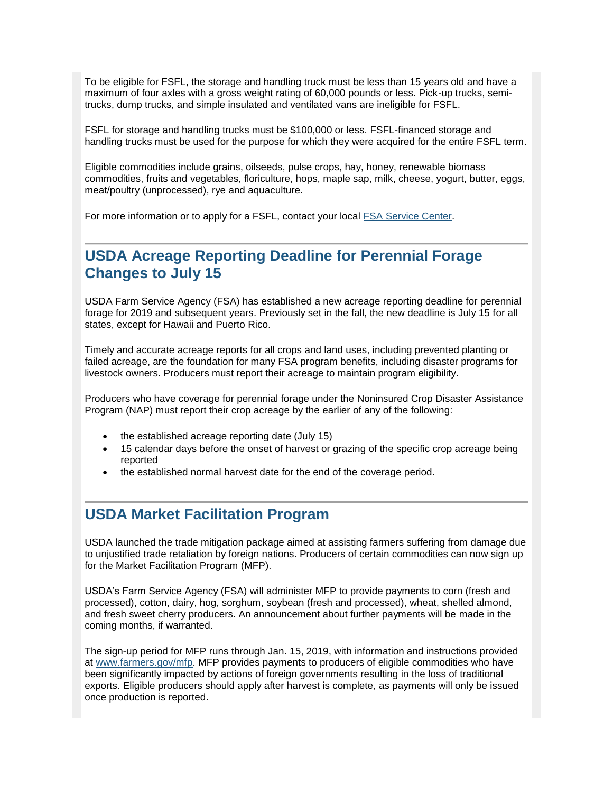To be eligible for FSFL, the storage and handling truck must be less than 15 years old and have a maximum of four axles with a gross weight rating of 60,000 pounds or less. Pick-up trucks, semitrucks, dump trucks, and simple insulated and ventilated vans are ineligible for FSFL.

FSFL for storage and handling trucks must be \$100,000 or less. FSFL-financed storage and handling trucks must be used for the purpose for which they were acquired for the entire FSFL term.

Eligible commodities include grains, oilseeds, pulse crops, hay, honey, renewable biomass commodities, fruits and vegetables, floriculture, hops, maple sap, milk, cheese, yogurt, butter, eggs, meat/poultry (unprocessed), rye and aquaculture.

For more information or to apply for a FSFL, contact your local [FSA Service Center.](https://www.farmers.gov/?utm_medium=email&utm_source=govdelivery)

#### **USDA Acreage Reporting Deadline for Perennial Forage Changes to July 15**

USDA Farm Service Agency (FSA) has established a new acreage reporting deadline for perennial forage for 2019 and subsequent years. Previously set in the fall, the new deadline is July 15 for all states, except for Hawaii and Puerto Rico.

Timely and accurate acreage reports for all crops and land uses, including prevented planting or failed acreage, are the foundation for many FSA program benefits, including disaster programs for livestock owners. Producers must report their acreage to maintain program eligibility.

Producers who have coverage for perennial forage under the Noninsured Crop Disaster Assistance Program (NAP) must report their crop acreage by the earlier of any of the following:

- the established acreage reporting date (July 15)
- 15 calendar days before the onset of harvest or grazing of the specific crop acreage being reported
- the established normal harvest date for the end of the coverage period.

#### <span id="page-4-0"></span>**USDA Market Facilitation Program**

USDA launched the trade mitigation package aimed at assisting farmers suffering from damage due to unjustified trade retaliation by foreign nations. Producers of certain commodities can now sign up for the Market Facilitation Program (MFP).

USDA's Farm Service Agency (FSA) will administer MFP to provide payments to corn (fresh and processed), cotton, dairy, hog, sorghum, soybean (fresh and processed), wheat, shelled almond, and fresh sweet cherry producers. An announcement about further payments will be made in the coming months, if warranted.

The sign-up period for MFP runs through Jan. 15, 2019, with information and instructions provided at [www.farmers.gov/mfp.](http://links.govdelivery.com/track?type=click&enid=ZWFzPTEmbWFpbGluZ2lkPTIwMTgwOTA0Ljk0NDE3NjQxJm1lc3NhZ2VpZD1NREItUFJELUJVTC0yMDE4MDkwNC45NDQxNzY0MSZkYXRhYmFzZWlkPTEwMDEmc2VyaWFsPTE4MDA0MDA0JmVtYWlsaWQ9Y2Fzc2llLmJhYmxlQHR4LnVzZGEuZ292JnVzZXJpZD1jYXNzaWUuYmFibGVAdHgudXNkYS5nb3YmZmw9JmV4dHJhPU11bHRpdmFyaWF0ZUlkPSYmJg==&&&103&&&http://www.farmers.gov/mfp) MFP provides payments to producers of eligible commodities who have been significantly impacted by actions of foreign governments resulting in the loss of traditional exports. Eligible producers should apply after harvest is complete, as payments will only be issued once production is reported.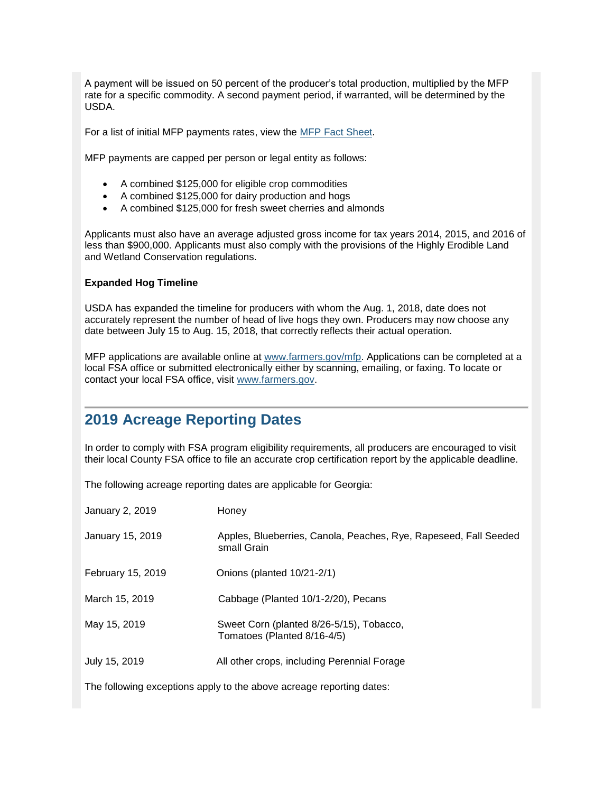A payment will be issued on 50 percent of the producer's total production, multiplied by the MFP rate for a specific commodity. A second payment period, if warranted, will be determined by the USDA.

For a list of initial MFP payments rates, view the [MFP Fact Sheet.](https://www.fsa.usda.gov/Assets/USDA-FSA-Public/usdafiles/FactSheets/2018/Market_Facilitation_Program_Fact_Sheet_September_2018C.pdf?utm_medium=email&utm_source=govdelivery)

MFP payments are capped per person or legal entity as follows:

- A combined \$125,000 for eligible crop commodities
- A combined \$125,000 for dairy production and hogs
- A combined \$125,000 for fresh sweet cherries and almonds

Applicants must also have an average adjusted gross income for tax years 2014, 2015, and 2016 of less than \$900,000. Applicants must also comply with the provisions of the Highly Erodible Land and Wetland Conservation regulations.

#### **Expanded Hog Timeline**

USDA has expanded the timeline for producers with whom the Aug. 1, 2018, date does not accurately represent the number of head of live hogs they own. Producers may now choose any date between July 15 to Aug. 15, 2018, that correctly reflects their actual operation.

MFP applications are available online at [www.farmers.gov/mfp.](http://www.farmers.gov/mfp?utm_medium=email&utm_source=govdelivery) Applications can be completed at a local FSA office or submitted electronically either by scanning, emailing, or faxing. To locate or contact your local FSA office, visit [www.farmers.gov.](https://www.farmers.gov/?utm_medium=email&utm_source=govdelivery)

#### <span id="page-5-0"></span>**2019 Acreage Reporting Dates**

In order to comply with FSA program eligibility requirements, all producers are encouraged to visit their local County FSA office to file an accurate crop certification report by the applicable deadline.

The following acreage reporting dates are applicable for Georgia:

| January 2, 2019                                                       | Honey                                                                           |
|-----------------------------------------------------------------------|---------------------------------------------------------------------------------|
| January 15, 2019                                                      | Apples, Blueberries, Canola, Peaches, Rye, Rapeseed, Fall Seeded<br>small Grain |
| February 15, 2019                                                     | Onions (planted 10/21-2/1)                                                      |
| March 15, 2019                                                        | Cabbage (Planted 10/1-2/20), Pecans                                             |
| May 15, 2019                                                          | Sweet Corn (planted 8/26-5/15), Tobacco,<br>Tomatoes (Planted 8/16-4/5)         |
| July 15, 2019                                                         | All other crops, including Perennial Forage                                     |
| The following avenuations apply to the shave sersons reporting detect |                                                                                 |

The following exceptions apply to the above acreage reporting dates: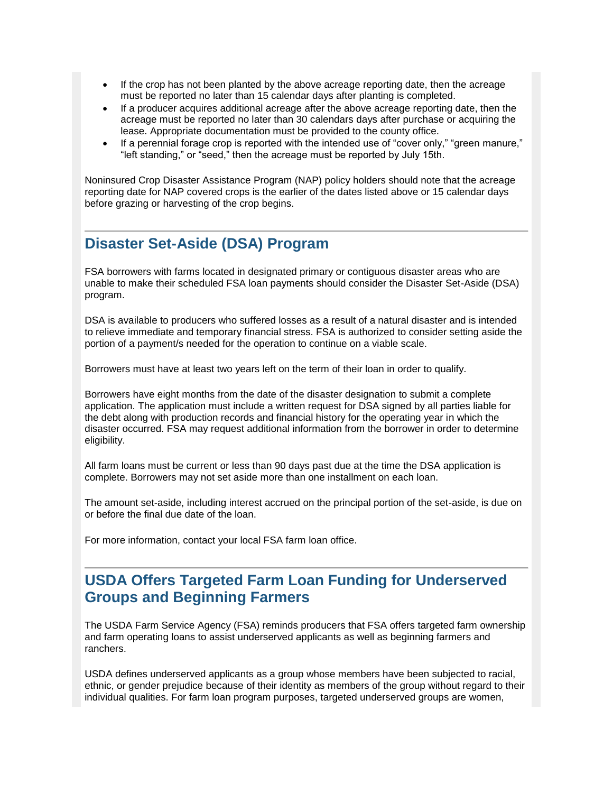- If the crop has not been planted by the above acreage reporting date, then the acreage must be reported no later than 15 calendar days after planting is completed.
- If a producer acquires additional acreage after the above acreage reporting date, then the acreage must be reported no later than 30 calendars days after purchase or acquiring the lease. Appropriate documentation must be provided to the county office.
- If a perennial forage crop is reported with the intended use of "cover only," "green manure," "left standing," or "seed," then the acreage must be reported by July 15th.

Noninsured Crop Disaster Assistance Program (NAP) policy holders should note that the acreage reporting date for NAP covered crops is the earlier of the dates listed above or 15 calendar days before grazing or harvesting of the crop begins.

#### <span id="page-6-0"></span>**Disaster Set-Aside (DSA) Program**

FSA borrowers with farms located in designated primary or contiguous disaster areas who are unable to make their scheduled FSA loan payments should consider the Disaster Set-Aside (DSA) program.

DSA is available to producers who suffered losses as a result of a natural disaster and is intended to relieve immediate and temporary financial stress. FSA is authorized to consider setting aside the portion of a payment/s needed for the operation to continue on a viable scale.

Borrowers must have at least two years left on the term of their loan in order to qualify.

Borrowers have eight months from the date of the disaster designation to submit a complete application. The application must include a written request for DSA signed by all parties liable for the debt along with production records and financial history for the operating year in which the disaster occurred. FSA may request additional information from the borrower in order to determine eligibility.

All farm loans must be current or less than 90 days past due at the time the DSA application is complete. Borrowers may not set aside more than one installment on each loan.

The amount set-aside, including interest accrued on the principal portion of the set-aside, is due on or before the final due date of the loan.

For more information, contact your local FSA farm loan office.

## <span id="page-6-1"></span>**USDA Offers Targeted Farm Loan Funding for Underserved Groups and Beginning Farmers**

The USDA Farm Service Agency (FSA) reminds producers that FSA offers targeted farm ownership and farm operating loans to assist underserved applicants as well as beginning farmers and ranchers.

USDA defines underserved applicants as a group whose members have been subjected to racial, ethnic, or gender prejudice because of their identity as members of the group without regard to their individual qualities. For farm loan program purposes, targeted underserved groups are women,